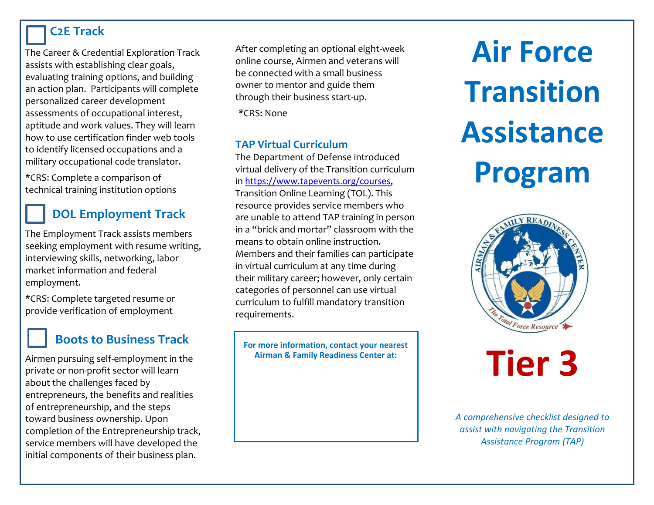### **C2E Track**

The Career & Credential Exploration Track assists with establishing clear goals, evaluating training options, and building an action plan. Participants will complete personalized career development assessments of occupational interest, aptitude and work values. They will learn how to use certification finder web tools to identify licensed occupations and a military occupational code translator.

**\***CRS: Complete a comparison of technical training institution options

# **DOL Employment Track**

The Employment Track assists members seeking employment with resume writing, interviewing skills, networking, labor market information and federal employment.

**\***CRS: Complete targeted resume or provide verification of employment

# **Boots to Business Track**

Airmen pursuing self-employment in the private or non-profit sector will learn about the challenges faced by entrepreneurs, the benefits and realities of entrepreneurship, and the steps toward business ownership. Upon completion of the Entrepreneurship track, service members will have developed the initial components of their business plan.

After completing an optional eight-week online course, Airmen and veterans will be connected with a small business owner to mentor and guide them through their business start-up.

**\***CRS: None

#### **TAP Virtual Curriculum**

The Department of Defense introduced virtual delivery of the Transition curriculum in <https://www.tapevents.org/courses>, Transition Online Learning (TOL). This resource provides service members who are unable to attend TAP training in person in a "brick and mortar" classroom with the means to obtain online instruction. Members and their families can participate in virtual curriculum at any time during their military career; however, only certain categories of personnel can use virtual curriculum to fulfill mandatory transition requirements.

**For more information, contact your nearest Airman & Family Readiness Center at:**

**Air Force Transition Assistance Program**



# **Tier 3**

*A comprehensive checklist designed to assist with navigating the Transition Assistance Program (TAP)*